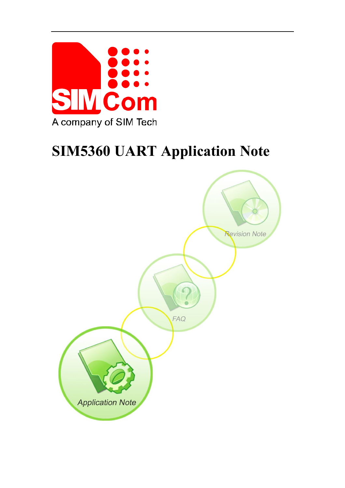

# **SIM5360 UART Application Note**

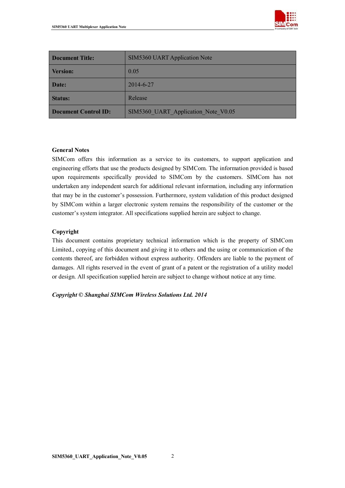

| <b>Document Title:</b>      | <b>SIM5360 UART Application Note</b> |  |
|-----------------------------|--------------------------------------|--|
| <b>Version:</b>             | 0.05                                 |  |
| Date:                       | 2014-6-27                            |  |
| <b>Status:</b>              | Release                              |  |
| <b>Document Control ID:</b> | SIM5360 UART Application Note V0.05  |  |

#### **General Notes**

SIMCom offers this information as a service to its customers, to support application and engineering efforts that use the products designed by SIMCom. The information provided is based upon requirements specifically provided to SIMCom by the customers. SIMCom has not undertaken any independent search for additional relevant information, including any information that may be in the customer's possession. Furthermore, system validation of this product designed by SIMCom within a larger electronic system remains the responsibility of the customer or the customer's system integrator. All specifications supplied herein are subject to change.

#### **Copyright**

This document contains proprietary technical information which is the property of SIMCom Limited., copying of this document and giving it to others and the using or communication of the contents thereof, are forbidden without express authority. Offenders are liable to the payment of damages. All rights reserved in the event of grant of a patent or the registration of a utility model or design. All specification supplied herein are subject to change without notice at any time.

#### *Copyright © Shanghai SIMCom Wireless Solutions Ltd. 2014*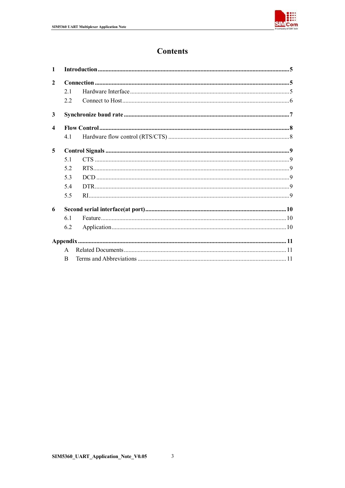

## **Contents**

| $\mathbf{1}$            |              |  |
|-------------------------|--------------|--|
| $\overline{2}$          |              |  |
|                         | 21           |  |
|                         | 22           |  |
| $\mathbf{3}$            |              |  |
| $\overline{\mathbf{4}}$ |              |  |
|                         | 41           |  |
| 5                       |              |  |
|                         | 51           |  |
|                         | 52           |  |
|                         | 5.3          |  |
|                         | 5.4          |  |
|                         | 5.5          |  |
| 6                       |              |  |
|                         | 61           |  |
|                         | 6.2          |  |
|                         |              |  |
|                         | $\mathbf{A}$ |  |
|                         |              |  |

 $\overline{\mathbf{3}}$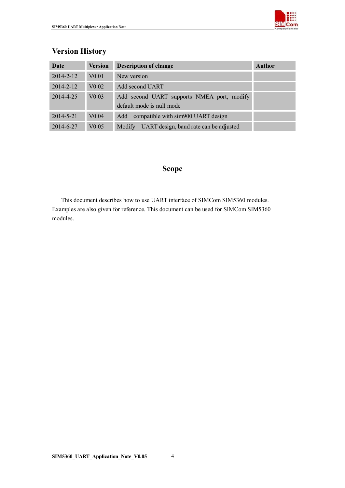

# **Version History Date Version Description of change** *Author* 2014-2-12 V0.01 New version

| 2014-2-12 | V <sub>0.01</sub> | New version                                                             |
|-----------|-------------------|-------------------------------------------------------------------------|
| 2014-2-12 | V <sub>0.02</sub> | Add second UART                                                         |
| 2014-4-25 | V <sub>0.03</sub> | Add second UART supports NMEA port, modify<br>default mode is null mode |
| 2014-5-21 | V <sub>0.04</sub> | compatible with sim900 UART design<br>Add                               |
| 2014-6-27 | V0.05             | UART design, baud rate can be adjusted<br><b>Modify</b>                 |

#### **Scope**

This document describes how to use UART interface of SIMCom SIM5360 modules. Examples are also given for reference. This document can be used for SIMCom SIM5360 modules.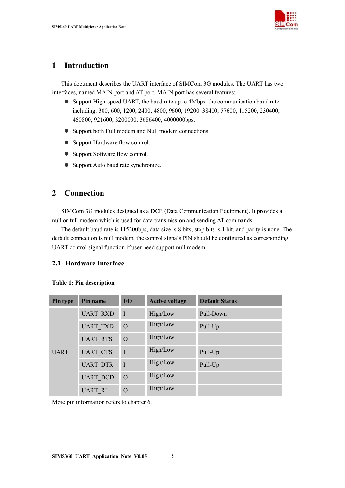

#### **1 Introduction**

This document describes the UART interface of SIMCom 3G modules. The UART has two interfaces, named MAIN port and AT port, MAIN port has several features:

- Support High-speed UART, the baud rate up to 4Mbps. the communication baud rate including: 300, 600, 1200, 2400, 4800, 9600, 19200, 38400, 57600, 115200, 230400, 460800, 921600, 3200000, 3686400, 4000000bps.
- Support both Full modem and Null modem connections.
- Support Hardware flow control.
- Support Software flow control.
- Support Auto baud rate synchronize.

#### **2 Connection**

SIMCom 3G modules designed as a DCE (Data Communication Equipment). It provides a null or full modem which is used for data transmission and sending AT commands.

The default baud rate is 115200bps, data size is 8 bits, stop bits is 1 bit, and parity is none. The default connection is null modem, the control signals PIN should be configured as corresponding UART control signal function if user need support null modem.

#### **2.1 Hardware Interface**

#### **Table 1: Pin description**

| Pin type    | Pin name        | I/O            | <b>Active voltage</b> | <b>Default Status</b> |
|-------------|-----------------|----------------|-----------------------|-----------------------|
| <b>UART</b> | <b>UART RXD</b> | I              | High/Low              | Pull-Down             |
|             | <b>UART TXD</b> | $\overline{O}$ | High/Low              | Pull-Up               |
|             | <b>UART RTS</b> | $\overline{O}$ | High/Low              |                       |
|             | <b>UART CTS</b> | I              | High/Low              | Pull-Up               |
|             | <b>UART DTR</b> | I              | High/Low              | Pull-Up               |
|             | <b>UART DCD</b> | $\overline{O}$ | High/Low              |                       |
|             | <b>UART RI</b>  | $\overline{O}$ | High/Low              |                       |

More pin information refers to chapter 6.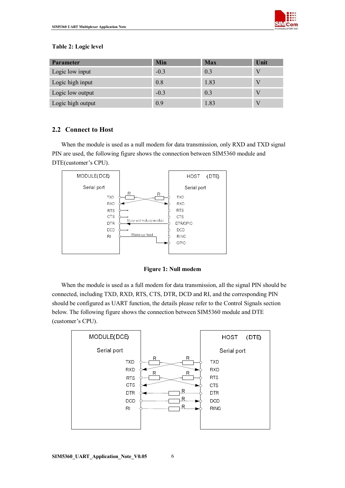

#### **Table 2: Logic level**

| <b>Parameter</b>  | Min    | <b>Max</b> | Unit |
|-------------------|--------|------------|------|
| Logic low input   | $-0.3$ | 0.3        |      |
| Logic high input  | 0.8    | 1.83       |      |
| Logic low output  | $-0.3$ | 0.3        |      |
| Logic high output | 0.9    | 1.83       |      |

#### **2.2 Connect to Host**

When the module is used as a null modem for data transmission, only RXD and TXD signal PIN are used, the following figure shows the connection between SIM5360 module and DTE(customer's CPU).



**Figure 1: Null modem**

When the module is used as a full modem for data transmission, all the signal PIN should be connected, including TXD, RXD, RTS, CTS, DTR, DCD and RI, and the corresponding PIN should be configured as UART function, the details please refer to the Control Signals section below. The following figure shows the connection between SIM5360 module and DTE (customer's CPU).

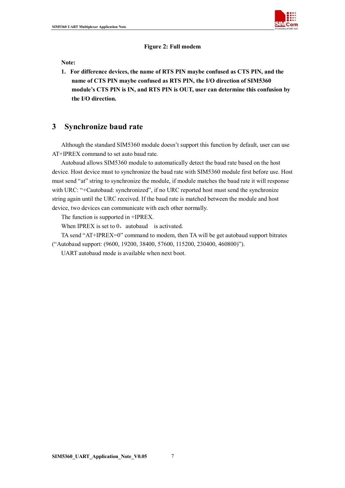

**Figure 2: Full modem**

**Note:** 

**1. For difference devices, the name of RTS PIN maybe confused as CTS PIN, and the name of CTS PIN maybe confused as RTS PIN, the I/O direction of SIM5360 module's CTS PIN is IN, and RTS PIN is OUT, user can determine this confusion by the I/O direction.**

#### **3 Synchronize baud rate**

Although the standard SIM5360 module doesn't support this function by default, user can use AT+IPREX command to set auto baud rate.

Autobaud allows SIM5360 module to automatically detect the baud rate based on the host device. Host device must to synchronize the baud rate with SIM5360 module first before use. Host must send "at" string to synchronize the module, if module matches the baud rate it will response with URC: "+Cautobaud: synchronized", if no URC reported host must send the synchronize string again until the URC received. If the baud rate is matched between the module and host device, two devices can communicate with each other normally.

The function is supported in +IPREX.

When IPREX is set to  $0$ , autobaud is activated.

TA send "AT+IPREX=0" command to modem, then TA will be get autobaud support bitrates ("Autobaud support: (9600, 19200, 38400, 57600, 115200, 230400, 460800)").

UART autobaud mode is available when next boot.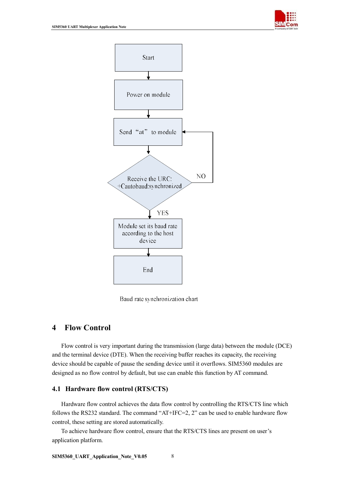



Baud rate synchronization chart

#### **4 Flow Control**

Flow control is very important during the transmission (large data) between the module (DCE) and the terminal device (DTE). When the receiving buffer reaches its capacity, the receiving device should be capable of pause the sending device until it overflows. SIM5360 modules are designed as no flow control by default, but use can enable this function by AT command.

#### **4.1 Hardware flow control (RTS/CTS)**

Hardware flow control achieves the data flow control by controlling the RTS/CTS line which follows the RS232 standard. The command "AT+IFC=2, 2" can be used to enable hardware flow control, these setting are stored automatically.

To achieve hardware flow control, ensure that the RTS/CTS lines are present on user's application platform.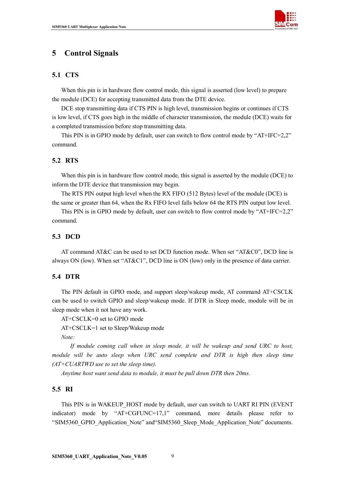

#### **5 Control Signals**

#### **5.1 CTS**

When this pin is in hardware flow control mode, this signal is asserted (low level) to prepare the module (DCE) for accepting transmitted data from the DTE device.

DCE stop transmitting data if CTS PIN is high level, transmission begins or continues if CTS is low level, if CTS goes high in the middle of character transmission, the module (DCE) waits for a completed transmission before stop transmitting data.

This PIN is in GPIO mode by default, user can switch to flow control mode by "AT+IFC=2,2" command.

#### **5.2 RTS**

When this pin is in hardware flow control mode, this signal is asserted by the module (DCE) to inform the DTE device that transmission may begin.

The RTS PIN output high level when the RX FIFO (512 Bytes) level of the module (DCE) is the same or greater than 64, when the Rx FIFO level falls below 64 the RTS PIN output low level.

This PIN is in GPIO mode by default, user can switch to flow control mode by "AT+IFC=2,2" command.

#### **5.3 DCD**

AT command AT&C can be used to set DCD function mode. When set "AT&C0", DCD line is always ON (low). When set "AT&C1", DCD line is ON (low) only in the presence of data carrier.

#### **5.4 DTR**

The PIN default in GPIO mode, and support sleep/wakeup mode, AT command AT+CSCLK can be used to switch GPIO and sleep/wakeup mode. If DTR in Sleep mode, module will be in sleep mode when it not have any work.

AT+CSCLK=0 set to GPIO mode

AT+CSCLK=1 set to Sleep/Wakeup mode

*Note:*

*If module coming call when in sleep mode, it will be wakeup and send URC to host, module will be auto sleep when URC send complete and DTR is high then sleep time (AT+CUARTWD use to set the sleep time).*

*Anytime host want send data to module, it must be pull down DTR then 20ms.*

#### **5.5 RI**

This PIN is in WAKEUP\_HOST mode by default, user can switch to UART RI PIN (EVENT indicator) mode by "AT+CGFUNC=17,1" command, more details please refer to "SIM5360\_GPIO\_Application\_Note" and"SIM5360\_Sleep\_Mode\_Application\_Note" documents.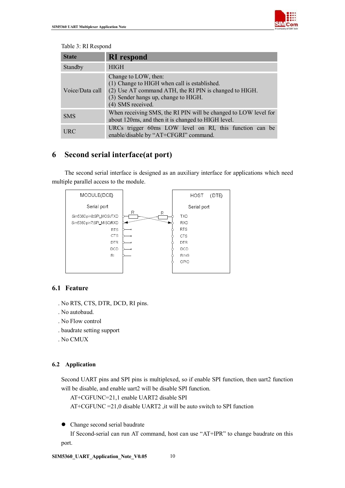

#### Table 3: RI Respond

| <b>State</b>    | <b>RI</b> respond                                                                                                                                                                           |
|-----------------|---------------------------------------------------------------------------------------------------------------------------------------------------------------------------------------------|
| Standby         | <b>HIGH</b>                                                                                                                                                                                 |
| Voice/Data call | Change to LOW, then:<br>(1) Change to HIGH when call is established.<br>(2) Use AT command ATH, the RI PIN is changed to HIGH.<br>(3) Sender hangs up, change to HIGH.<br>(4) SMS received. |
| <b>SMS</b>      | When receiving SMS, the RI PIN will be changed to LOW level for<br>about 120 ms, and then it is changed to HIGH level.                                                                      |
| <b>URC</b>      | URCs trigger 60ms LOW level on RI, this function can be<br>enable/disable by "AT+CFGRI" command.                                                                                            |

### **6 Second serial interface(at port)**

The second serial interface is designed as an auxiliary interface for applications which need multiple parallel access to the module.



#### **6.1 Feature**

- . No RTS, CTS, DTR, DCD, RI pins.
- . No autobaud.
- . No Flow control
- . baudrate setting support
- . No CMUX

#### **6.2 Application**

Second UART pins and SPI pins is multiplexed, so if enable SPI function, then uart2 function will be disable, and enable uart2 will be disable SPI function.

AT+CGFUNC=21,1 enable UART2 disable SPI

AT+CGFUNC =21,0 disable UART2 ,it will be auto switch to SPI function

• Change second serial baudrate

If Second-serial can run AT command, host can use "AT+IPR" to change baudrate on this port.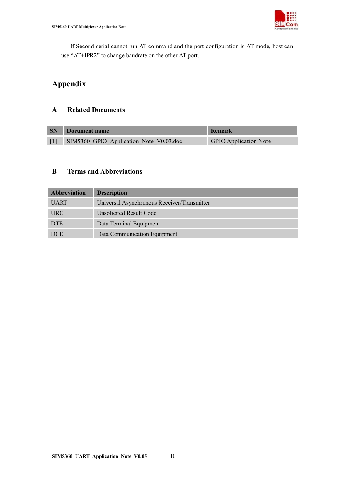

If Second-serial cannot run AT command and the port configuration is AT mode, host can use "AT+IPR2" to change baudrate on the other AT port.

# **Appendix**

#### **A Related Documents**

| <b>SN</b> | Document name                           | Remark                       |
|-----------|-----------------------------------------|------------------------------|
|           | SIM5360 GPIO Application Note V0.03.doc | <b>GPIO Application Note</b> |

#### **B Terms and Abbreviations**

| <b>Abbreviation</b> | <b>Description</b>                          |
|---------------------|---------------------------------------------|
| <b>UART</b>         | Universal Asynchronous Receiver/Transmitter |
| <b>URC</b>          | Unsolicited Result Code                     |
| <b>DTE</b>          | Data Terminal Equipment                     |
| <b>DCE</b>          | Data Communication Equipment                |